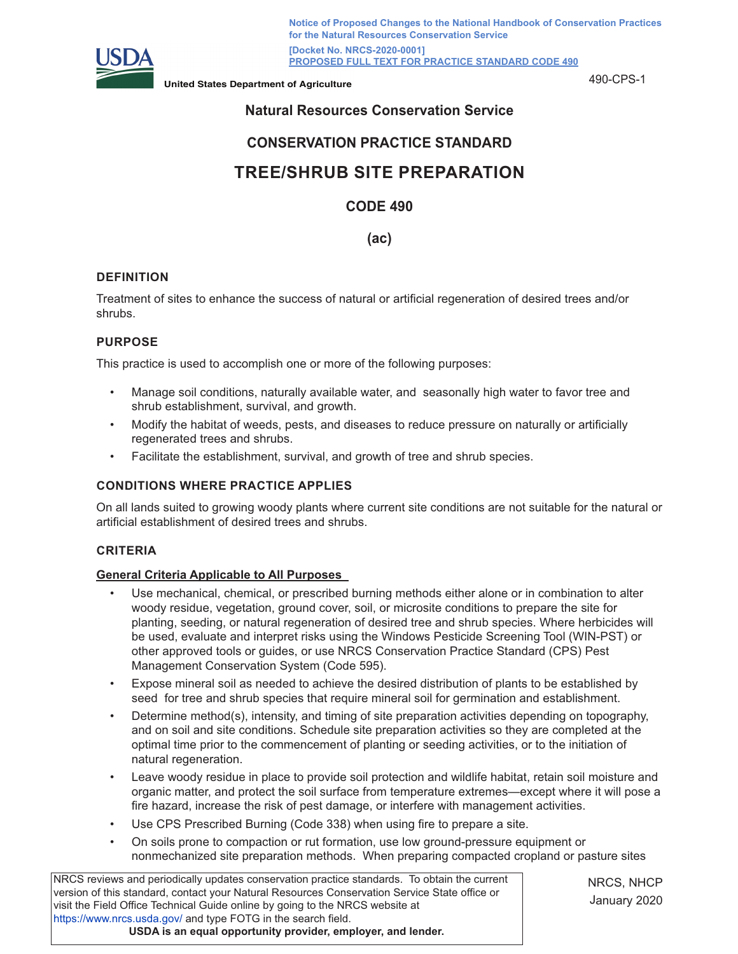

**Notice of Proposed Changes to the National Handbook of Conservation Practices for the Natural Resources Conservation Service [Docket No. NRCS-2020-0001] PROPOSED FULL TEXT FOR PRACTICE STANDARD CODE 490**

**United States Department of Agriculture** 490-CPS-1

# **Natural Resources Conservation Service**

# **CONSERVATION PRACTICE STANDARD**

# **TREE/SHRUB SITE PREPARATION**

# **CODE 490**

# **(ac)**

## **DEFINITION**

Treatment of sites to enhance the success of natural or artificial regeneration of desired trees and/or shrubs.

## **PURPOSE**

This practice is used to accomplish one or more of the following purposes:

- Manage soil conditions, naturally available water, and seasonally high water to favor tree and shrub establishment, survival, and growth.
- Modify the habitat of weeds, pests, and diseases to reduce pressure on naturally or artificially regenerated trees and shrubs.
- Facilitate the establishment, survival, and growth of tree and shrub species.

#### **CONDITIONS WHERE PRACTICE APPLIES**

On all lands suited to growing woody plants where current site conditions are not suitable for the natural or artificial establishment of desired trees and shrubs.

#### **CRITERIA**

#### **General Criteria Applicable to All Purposes**

- Use mechanical, chemical, or prescribed burning methods either alone or in combination to alter woody residue, vegetation, ground cover, soil, or microsite conditions to prepare the site for planting, seeding, or natural regeneration of desired tree and shrub species. Where herbicides will be used, evaluate and interpret risks using the Windows Pesticide Screening Tool (WIN-PST) or other approved tools or guides, or use NRCS Conservation Practice Standard (CPS) Pest Management Conservation System (Code 595).
- Expose mineral soil as needed to achieve the desired distribution of plants to be established by seed for tree and shrub species that require mineral soil for germination and establishment.
- Determine method(s), intensity, and timing of site preparation activities depending on topography, and on soil and site conditions. Schedule site preparation activities so they are completed at the optimal time prior to the commencement of planting or seeding activities, or to the initiation of natural regeneration.
- Leave woody residue in place to provide soil protection and wildlife habitat, retain soil moisture and organic matter, and protect the soil surface from temperature extremes—except where it will pose a fire hazard, increase the risk of pest damage, or interfere with management activities.
- Use CPS Prescribed Burning (Code 338) when using fire to prepare a site.
- On soils prone to compaction or rut formation, use low ground-pressure equipment or nonmechanized site preparation methods. When preparing compacted cropland or pasture sites

NRCS reviews and periodically updates conservation practice standards. To obtain the current version of this standard, contact your Natural Resources Conservation Service State office or visit the Field Office Technical Guide online by going to the NRCS website at <https://www.nrcs.usda.gov/>and type FOTG in the search field. **USDA is an equal opportunity provider, employer, and lender.**

NRCS, NHCP January 2020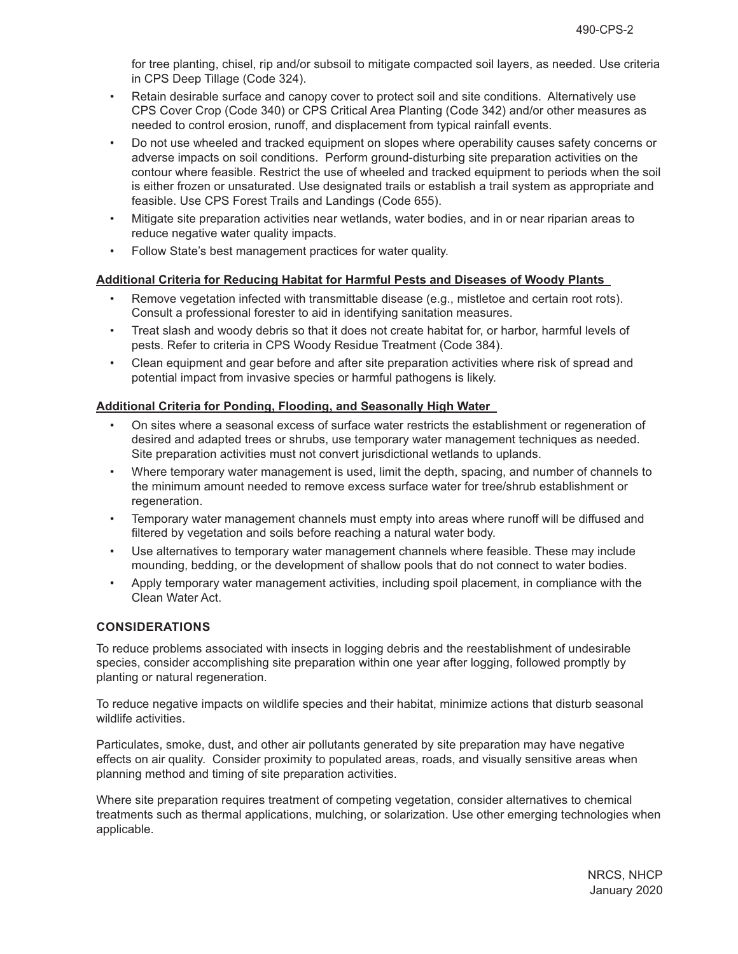for tree planting, chisel, rip and/or subsoil to mitigate compacted soil layers, as needed. Use criteria in CPS Deep Tillage (Code 324).

- Retain desirable surface and canopy cover to protect soil and site conditions. Alternatively use CPS Cover Crop (Code 340) or CPS Critical Area Planting (Code 342) and/or other measures as needed to control erosion, runoff, and displacement from typical rainfall events.
- Do not use wheeled and tracked equipment on slopes where operability causes safety concerns or adverse impacts on soil conditions. Perform ground-disturbing site preparation activities on the contour where feasible. Restrict the use of wheeled and tracked equipment to periods when the soil is either frozen or unsaturated. Use designated trails or establish a trail system as appropriate and feasible. Use CPS Forest Trails and Landings (Code 655).
- Mitigate site preparation activities near wetlands, water bodies, and in or near riparian areas to reduce negative water quality impacts.
- Follow State's best management practices for water quality.

## **Additional Criteria for Reducing Habitat for Harmful Pests and Diseases of Woody Plants**

- Remove vegetation infected with transmittable disease (e.g., mistletoe and certain root rots). Consult a professional forester to aid in identifying sanitation measures.
- Treat slash and woody debris so that it does not create habitat for, or harbor, harmful levels of pests. Refer to criteria in CPS Woody Residue Treatment (Code 384).
- Clean equipment and gear before and after site preparation activities where risk of spread and potential impact from invasive species or harmful pathogens is likely.

# **Additional Criteria for Ponding, Flooding, and Seasonally High Water**

- On sites where a seasonal excess of surface water restricts the establishment or regeneration of desired and adapted trees or shrubs, use temporary water management techniques as needed. Site preparation activities must not convert jurisdictional wetlands to uplands.
- Where temporary water management is used, limit the depth, spacing, and number of channels to the minimum amount needed to remove excess surface water for tree/shrub establishment or regeneration.
- Temporary water management channels must empty into areas where runoff will be diffused and filtered by vegetation and soils before reaching a natural water body.
- Use alternatives to temporary water management channels where feasible. These may include mounding, bedding, or the development of shallow pools that do not connect to water bodies.
- Apply temporary water management activities, including spoil placement, in compliance with the Clean Water Act.

# **CONSIDERATIONS**

To reduce problems associated with insects in logging debris and the reestablishment of undesirable species, consider accomplishing site preparation within one year after logging, followed promptly by planting or natural regeneration.

To reduce negative impacts on wildlife species and their habitat, minimize actions that disturb seasonal wildlife activities.

Particulates, smoke, dust, and other air pollutants generated by site preparation may have negative effects on air quality. Consider proximity to populated areas, roads, and visually sensitive areas when planning method and timing of site preparation activities.

Where site preparation requires treatment of competing vegetation, consider alternatives to chemical treatments such as thermal applications, mulching, or solarization. Use other emerging technologies when applicable.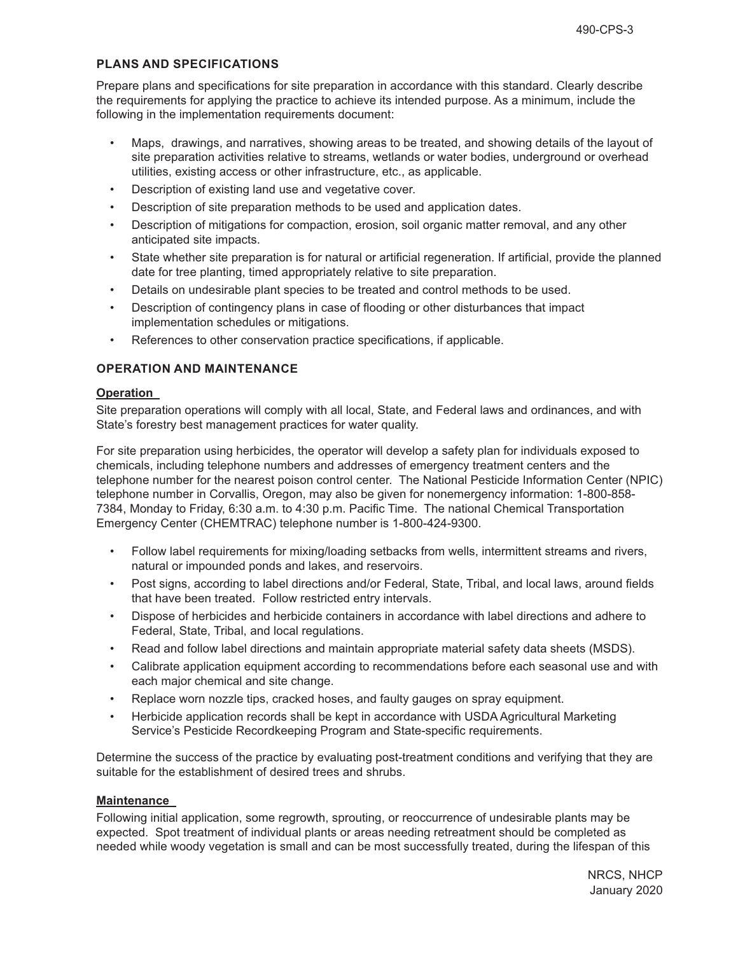## **PLANS AND SPECIFICATIONS**

Prepare plans and specifications for site preparation in accordance with this standard. Clearly describe the requirements for applying the practice to achieve its intended purpose. As a minimum, include the following in the implementation requirements document:

- Maps, drawings, and narratives, showing areas to be treated, and showing details of the layout of site preparation activities relative to streams, wetlands or water bodies, underground or overhead utilities, existing access or other infrastructure, etc., as applicable.
- Description of existing land use and vegetative cover.
- Description of site preparation methods to be used and application dates.
- Description of mitigations for compaction, erosion, soil organic matter removal, and any other anticipated site impacts.
- State whether site preparation is for natural or artificial regeneration. If artificial, provide the planned date for tree planting, timed appropriately relative to site preparation.
- Details on undesirable plant species to be treated and control methods to be used.
- Description of contingency plans in case of flooding or other disturbances that impact implementation schedules or mitigations.
- References to other conservation practice specifications, if applicable.

# **OPERATION AND MAINTENANCE**

#### **Operation**

Site preparation operations will comply with all local, State, and Federal laws and ordinances, and with State's forestry best management practices for water quality.

For site preparation using herbicides, the operator will develop a safety plan for individuals exposed to chemicals, including telephone numbers and addresses of emergency treatment centers and the telephone number for the nearest poison control center. The National Pesticide Information Center (NPIC) telephone number in Corvallis, Oregon, may also be given for nonemergency information: 1-800-858- 7384, Monday to Friday, 6:30 a.m. to 4:30 p.m. Pacific Time. The national Chemical Transportation Emergency Center (CHEMTRAC) telephone number is 1-800-424-9300.

- Follow label requirements for mixing/loading setbacks from wells, intermittent streams and rivers, natural or impounded ponds and lakes, and reservoirs.
- Post signs, according to label directions and/or Federal, State, Tribal, and local laws, around fields that have been treated. Follow restricted entry intervals.
- Dispose of herbicides and herbicide containers in accordance with label directions and adhere to Federal, State, Tribal, and local regulations.
- Read and follow label directions and maintain appropriate material safety data sheets (MSDS).
- Calibrate application equipment according to recommendations before each seasonal use and with each major chemical and site change.
- Replace worn nozzle tips, cracked hoses, and faulty gauges on spray equipment.
- Herbicide application records shall be kept in accordance with USDA Agricultural Marketing Service's Pesticide Recordkeeping Program and State-specific requirements.

Determine the success of the practice by evaluating post-treatment conditions and verifying that they are suitable for the establishment of desired trees and shrubs.

#### **Maintenance**

Following initial application, some regrowth, sprouting, or reoccurrence of undesirable plants may be expected. Spot treatment of individual plants or areas needing retreatment should be completed as needed while woody vegetation is small and can be most successfully treated, during the lifespan of this